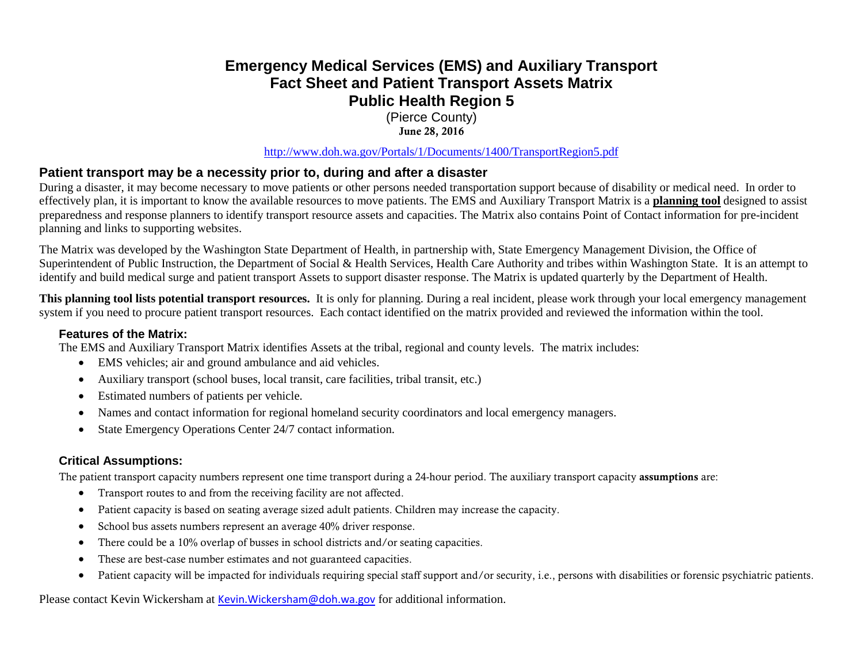# **Emergency Medical Services (EMS) and Auxiliary Transport Fact Sheet and Patient Transport Assets Matrix Public Health Region 5**

(Pierce County) June 28, 2016

<http://www.doh.wa.gov/Portals/1/Documents/1400/TransportRegion5.pdf>

## **Patient transport may be a necessity prior to, during and after a disaster**

During a disaster, it may become necessary to move patients or other persons needed transportation support because of disability or medical need. In order to effectively plan, it is important to know the available resources to move patients. The EMS and Auxiliary Transport Matrix is a **planning tool** designed to assist preparedness and response planners to identify transport resource assets and capacities. The Matrix also contains Point of Contact information for pre-incident planning and links to supporting websites.

The Matrix was developed by the Washington State Department of Health, in partnership with, State Emergency Management Division, the Office of Superintendent of Public Instruction, the Department of Social & Health Services, Health Care Authority and tribes within Washington State. It is an attempt to identify and build medical surge and patient transport Assets to support disaster response. The Matrix is updated quarterly by the Department of Health.

**This planning tool lists potential transport resources.** It is only for planning. During a real incident, please work through your local emergency management system if you need to procure patient transport resources. Each contact identified on the matrix provided and reviewed the information within the tool.

#### **Features of the Matrix:**

The EMS and Auxiliary Transport Matrix identifies Assets at the tribal, regional and county levels. The matrix includes:

- EMS vehicles; air and ground ambulance and aid vehicles.
- Auxiliary transport (school buses, local transit, care facilities, tribal transit, etc.)
- Estimated numbers of patients per vehicle.
- Names and contact information for regional homeland security coordinators and local emergency managers.
- State Emergency Operations Center 24/7 contact information.

### **Critical Assumptions:**

The patient transport capacity numbers represent one time transport during a 24-hour period. The auxiliary transport capacity assumptions are:

- Transport routes to and from the receiving facility are not affected.
- Patient capacity is based on seating average sized adult patients. Children may increase the capacity.
- School bus assets numbers represent an average 40% driver response.
- There could be a 10% overlap of busses in school districts and/or seating capacities.
- These are best-case number estimates and not guaranteed capacities.
- Patient capacity will be impacted for individuals requiring special staff support and/or security, i.e., persons with disabilities or forensic psychiatric patients.

Please contact Kevin Wickersham at [Kevin.Wickersham@doh.wa.gov](mailto:Kevin.Wickersham@doh.wa.gov) for additional information.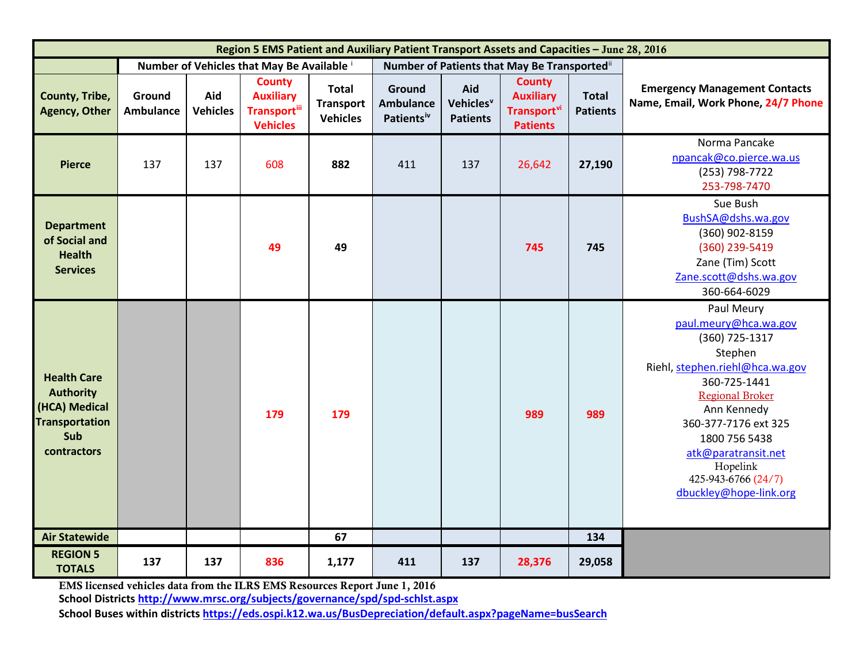| Region 5 EMS Patient and Auxiliary Patient Transport Assets and Capacities - June 28, 2016             |                                            |                        |                                                                              |                                                     |                                                      |                                                 |                                                                                        |                                 |                                                                                                                                                                                                                                                                                           |
|--------------------------------------------------------------------------------------------------------|--------------------------------------------|------------------------|------------------------------------------------------------------------------|-----------------------------------------------------|------------------------------------------------------|-------------------------------------------------|----------------------------------------------------------------------------------------|---------------------------------|-------------------------------------------------------------------------------------------------------------------------------------------------------------------------------------------------------------------------------------------------------------------------------------------|
|                                                                                                        | Number of Vehicles that May Be Available i |                        |                                                                              |                                                     | Number of Patients that May Be Transportedii         |                                                 |                                                                                        |                                 |                                                                                                                                                                                                                                                                                           |
| County, Tribe,<br><b>Agency, Other</b>                                                                 | Ground<br><b>Ambulance</b>                 | Aid<br><b>Vehicles</b> | <b>County</b><br><b>Auxiliary</b><br><b>Transport</b> ill<br><b>Vehicles</b> | <b>Total</b><br><b>Transport</b><br><b>Vehicles</b> | Ground<br><b>Ambulance</b><br>Patients <sup>iv</sup> | Aid<br>Vehicles <sup>v</sup><br><b>Patients</b> | <b>County</b><br><b>Auxiliary</b><br><b>Transport</b> <sup>vi</sup><br><b>Patients</b> | <b>Total</b><br><b>Patients</b> | <b>Emergency Management Contacts</b><br>Name, Email, Work Phone, 24/7 Phone                                                                                                                                                                                                               |
| <b>Pierce</b>                                                                                          | 137                                        | 137                    | 608                                                                          | 882                                                 | 411                                                  | 137                                             | 26,642                                                                                 | 27,190                          | Norma Pancake<br>npancak@co.pierce.wa.us<br>(253) 798-7722<br>253-798-7470                                                                                                                                                                                                                |
| <b>Department</b><br>of Social and<br><b>Health</b><br><b>Services</b>                                 |                                            |                        | 49                                                                           | 49                                                  |                                                      |                                                 | 745                                                                                    | 745                             | Sue Bush<br>BushSA@dshs.wa.gov<br>(360) 902-8159<br>(360) 239-5419<br>Zane (Tim) Scott<br>Zane.scott@dshs.wa.gov<br>360-664-6029                                                                                                                                                          |
| <b>Health Care</b><br><b>Authority</b><br>(HCA) Medical<br><b>Transportation</b><br>Sub<br>contractors |                                            |                        | 179                                                                          | 179                                                 |                                                      |                                                 | 989                                                                                    | 989                             | Paul Meury<br>paul.meury@hca.wa.gov<br>(360) 725-1317<br>Stephen<br>Riehl, stephen.riehl@hca.wa.gov<br>360-725-1441<br><b>Regional Broker</b><br>Ann Kennedy<br>360-377-7176 ext 325<br>1800 756 5438<br>atk@paratransit.net<br>Hopelink<br>425-943-6766 (24/7)<br>dbuckley@hope-link.org |
| <b>Air Statewide</b>                                                                                   |                                            |                        |                                                                              | 67                                                  |                                                      |                                                 |                                                                                        | 134                             |                                                                                                                                                                                                                                                                                           |
| <b>REGION 5</b><br><b>TOTALS</b>                                                                       | 137                                        | 137                    | 836                                                                          | 1,177                                               | 411                                                  | 137                                             | 28,376                                                                                 | 29,058                          |                                                                                                                                                                                                                                                                                           |

EMS licensed vehicles data from the ILRS EMS Resources Report June 1, 2016

**School District[s http://www.mrsc.org/subjects/governance/spd/spd-schlst.aspx](http://www.mrsc.org/subjects/governance/spd/spd-schlst.aspx)**

**School Buses within districts<https://eds.ospi.k12.wa.us/BusDepreciation/default.aspx?pageName=busSearch>**